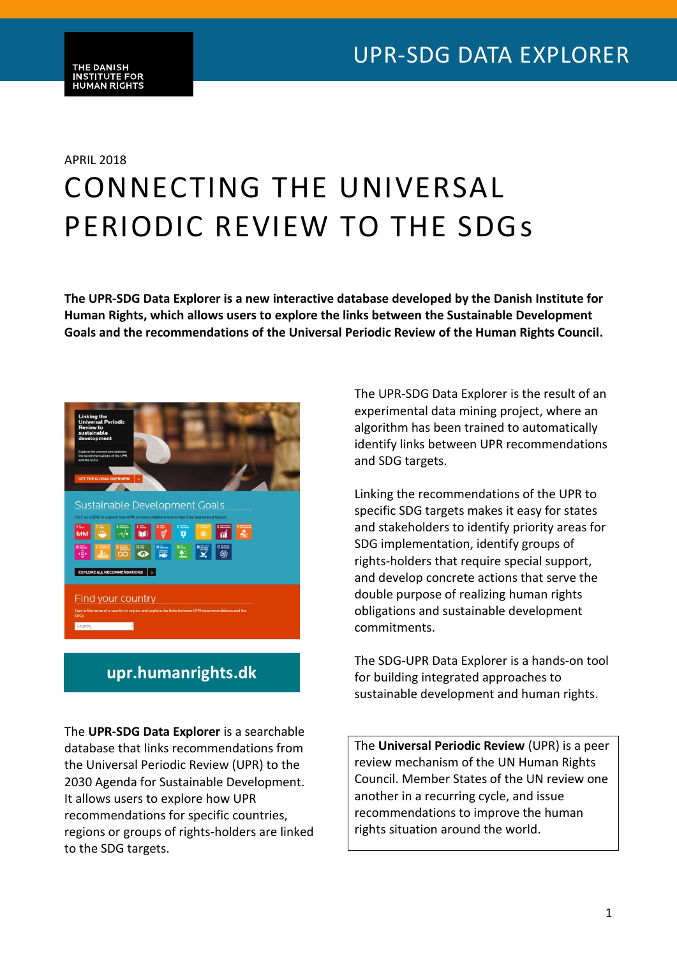# APRIL 2018 CONNECTING THE UNIVERSAL PERIODIC REVIEW TO THE SDGs

**The UPR-SDG Data Explorer is a new interactive database developed by the Danish Institute for Human Rights, which allows users to explore the links between the Sustainable Development Goals and the recommendations of the Universal Periodic Review of the Human Rights Council.**



### **upr.humanrights.dk**

The **UPR-SDG Data Explorer** is a searchable database that links recommendations from the Universal Periodic Review (UPR) to the 2030 Agenda for Sustainable Development. It allows users to explore how UPR recommendations for specific countries, regions or groups of rights-holders are linked to the SDG targets.

The UPR-SDG Data Explorer is the result of an experimental data mining project, where an algorithm has been trained to automatically identify links between UPR recommendations and SDG targets.

Linking the recommendations of the UPR to specific SDG targets makes it easy for states and stakeholders to identify priority areas for SDG implementation, identify groups of rights-holders that require special support, and develop concrete actions that serve the double purpose of realizing human rights obligations and sustainable development commitments.

The SDG-UPR Data Explorer is a hands-on tool for building integrated approaches to sustainable development and human rights.

The **Universal Periodic Review** (UPR) is a peer review mechanism of the UN Human Rights Council. Member States of the UN review one another in a recurring cycle, and issue recommendations to improve the human rights situation around the world.